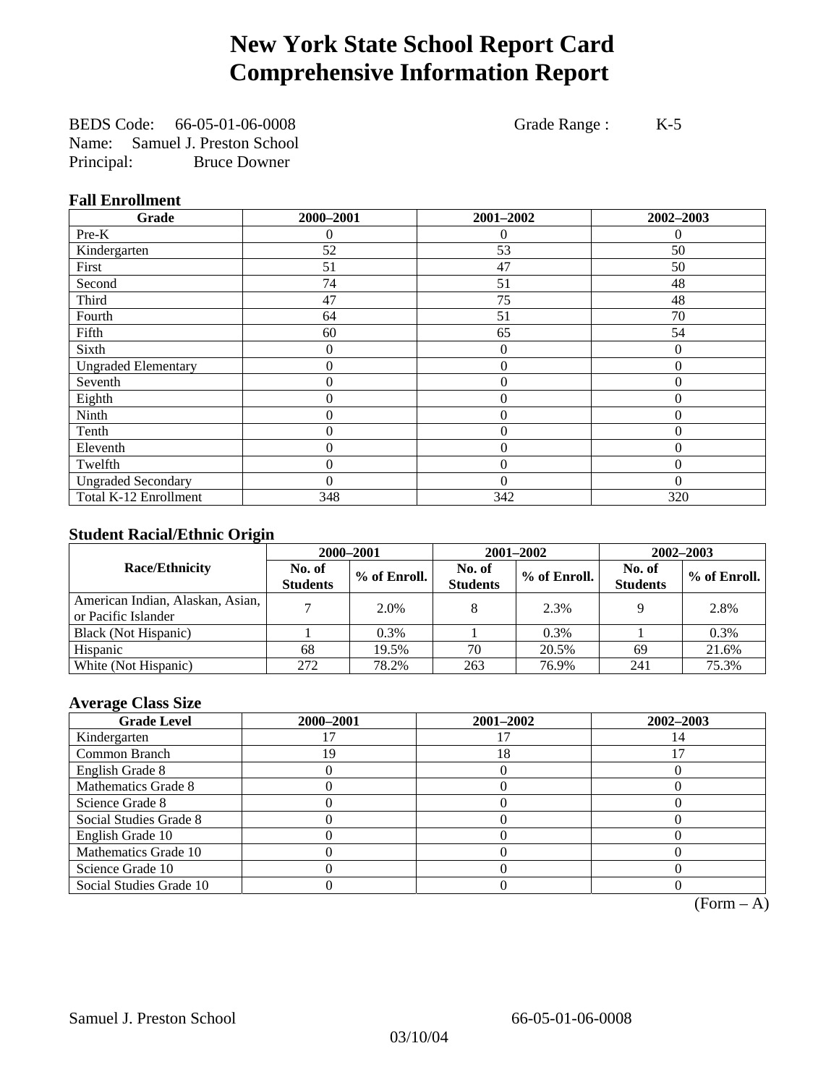# **New York State School Report Card Comprehensive Information Report**

BEDS Code: 66-05-01-06-0008 Grade Range : K-5 Name: Samuel J. Preston School Principal: Bruce Downer

### **Fall Enrollment**

| Grade                      | 2000-2001 | 2001-2002      | 2002-2003      |
|----------------------------|-----------|----------------|----------------|
| $Pre-K$                    | $^{(1)}$  | 0              | $\theta$       |
| Kindergarten               | 52        | 53             | 50             |
| First                      | 51        | 47             | 50             |
| Second                     | 74        | 51             | 48             |
| Third                      | 47        | 75             | 48             |
| Fourth                     | 64        | 51             | 70             |
| Fifth                      | 60        | 65             | 54             |
| Sixth                      | 0         | 0              | 0              |
| <b>Ungraded Elementary</b> | 0         | $\mathbf{0}$   | $\overline{0}$ |
| Seventh                    | 0         | $\mathbf{0}$   | $\overline{0}$ |
| Eighth                     | 0         | $\theta$       | $\theta$       |
| Ninth                      | 0         | $\theta$       | $\Omega$       |
| Tenth                      | 0         | 0              | $\theta$       |
| Eleventh                   | 0         | $\overline{0}$ | $\theta$       |
| Twelfth                    | 0         | $\overline{0}$ | $\Omega$       |
| <b>Ungraded Secondary</b>  | $\theta$  | $\theta$       | $\theta$       |
| Total K-12 Enrollment      | 348       | 342            | 320            |

### **Student Racial/Ethnic Origin**

|                                                         | 2000-2001                 |              |                           | 2001-2002    | $2002 - 2003$             |                |
|---------------------------------------------------------|---------------------------|--------------|---------------------------|--------------|---------------------------|----------------|
| <b>Race/Ethnicity</b>                                   | No. of<br><b>Students</b> | % of Enroll. | No. of<br><b>Students</b> | % of Enroll. | No. of<br><b>Students</b> | $%$ of Enroll. |
| American Indian, Alaskan, Asian,<br>or Pacific Islander |                           | 2.0%         |                           | 2.3%         |                           | 2.8%           |
| Black (Not Hispanic)                                    |                           | 0.3%         |                           | 0.3%         |                           | 0.3%           |
| Hispanic                                                | 68                        | 19.5%        | 70                        | 20.5%        | 69                        | 21.6%          |
| White (Not Hispanic)                                    | 272                       | 78.2%        | 263                       | 76.9%        | 241                       | 75.3%          |

### **Average Class Size**

| <b>Grade Level</b>      | 2000-2001 | 2001-2002 | 2002-2003 |
|-------------------------|-----------|-----------|-----------|
| Kindergarten            |           |           |           |
| Common Branch           | 9         | 18        |           |
| English Grade 8         |           |           |           |
| Mathematics Grade 8     |           |           |           |
| Science Grade 8         |           |           |           |
| Social Studies Grade 8  |           |           |           |
| English Grade 10        |           |           |           |
| Mathematics Grade 10    |           |           |           |
| Science Grade 10        |           |           |           |
| Social Studies Grade 10 |           |           |           |

 $(Form – A)$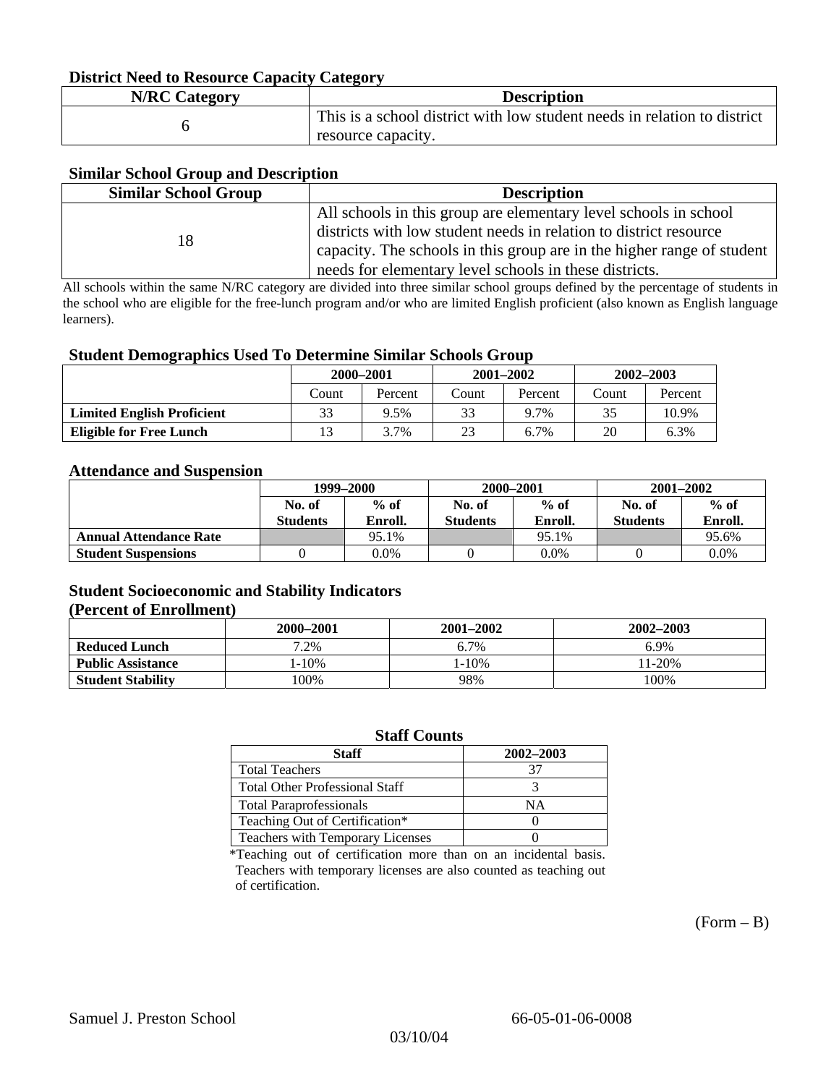### **District Need to Resource Capacity Category**

| <b>N/RC Category</b> | <b>Description</b>                                                                             |
|----------------------|------------------------------------------------------------------------------------------------|
|                      | This is a school district with low student needs in relation to district<br>resource capacity. |

### **Similar School Group and Description**

| <b>Similar School Group</b> | <b>Description</b>                                                     |
|-----------------------------|------------------------------------------------------------------------|
|                             | All schools in this group are elementary level schools in school       |
| 18                          | districts with low student needs in relation to district resource      |
|                             | capacity. The schools in this group are in the higher range of student |
|                             | needs for elementary level schools in these districts.                 |

All schools within the same N/RC category are divided into three similar school groups defined by the percentage of students in the school who are eligible for the free-lunch program and/or who are limited English proficient (also known as English language learners).

#### **Student Demographics Used To Determine Similar Schools Group**

|                                   | 2000-2001 |         | $2001 - 2002$ |         | $2002 - 2003$ |         |
|-----------------------------------|-----------|---------|---------------|---------|---------------|---------|
|                                   | Count     | Percent | Count         | Percent | Count         | Percent |
| <b>Limited English Proficient</b> | 33        | 9.5%    | 33            | 9.7%    | 35            | 10.9%   |
| Eligible for Free Lunch           |           | 3.7%    | 23            | 6.7%    | 20            | 6.3%    |

#### **Attendance and Suspension**

|                               | 1999–2000<br>$%$ of<br>No. of |         | 2000-2001        |         | $2001 - 2002$   |         |
|-------------------------------|-------------------------------|---------|------------------|---------|-----------------|---------|
|                               |                               |         | $%$ of<br>No. of |         | No. of          | $%$ of  |
|                               | <b>Students</b>               | Enroll. | <b>Students</b>  | Enroll. | <b>Students</b> | Enroll. |
| <b>Annual Attendance Rate</b> |                               | 95.1%   |                  | 95.1%   |                 | 95.6%   |
| <b>Student Suspensions</b>    |                               | 0.0%    |                  | $0.0\%$ |                 | 0.0%    |

### **Student Socioeconomic and Stability Indicators (Percent of Enrollment)**

|                          | 2000-2001  | $2001 - 2002$ | 2002-2003 |
|--------------------------|------------|---------------|-----------|
| <b>Reduced Lunch</b>     | 7.2%       | 6.7%          | 6.9%      |
| <b>Public Assistance</b> | $1 - 10\%$ | $1 - 10\%$    | $11-20%$  |
| <b>Student Stability</b> | $00\%$     | 98%           | 100%      |

#### **Staff Counts**

| Staff                                 | 2002-2003 |
|---------------------------------------|-----------|
| <b>Total Teachers</b>                 | 37        |
| <b>Total Other Professional Staff</b> |           |
| <b>Total Paraprofessionals</b>        | NΑ        |
| Teaching Out of Certification*        |           |
| Teachers with Temporary Licenses      |           |

\*Teaching out of certification more than on an incidental basis. Teachers with temporary licenses are also counted as teaching out of certification.

 $(Form - B)$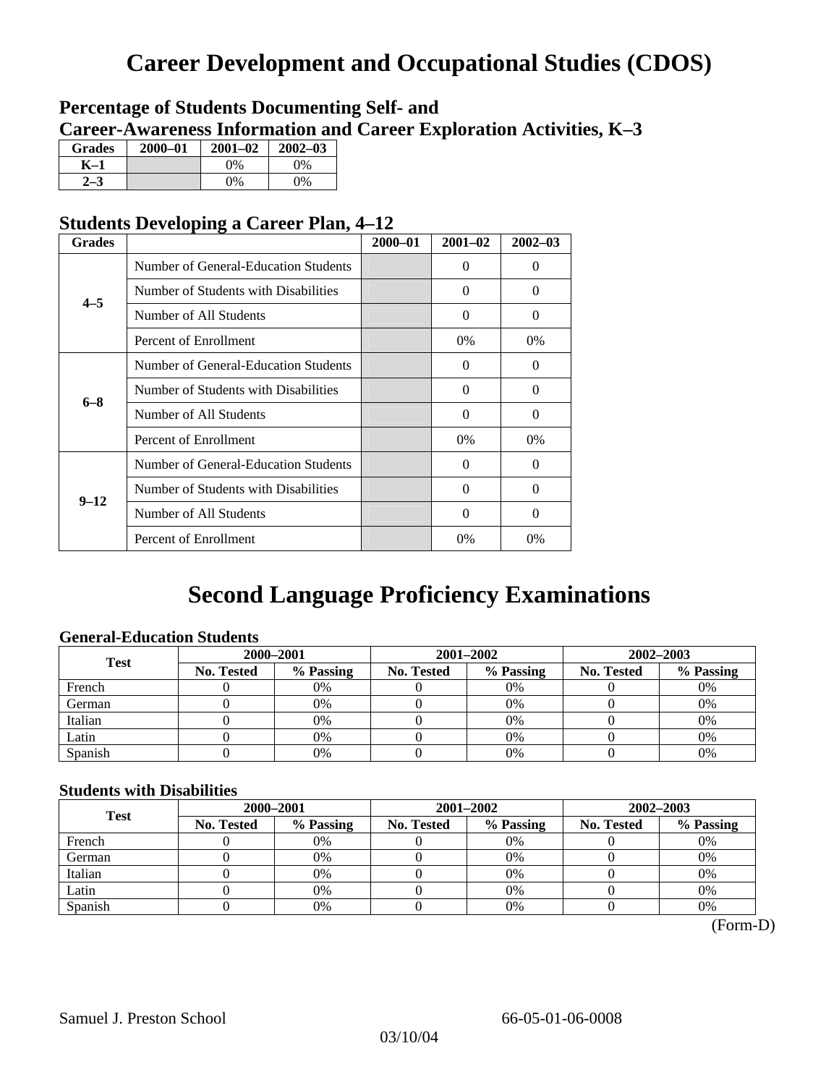# **Career Development and Occupational Studies (CDOS)**

### **Percentage of Students Documenting Self- and Career-Awareness Information and Career Exploration Activities, K–3**

| <b>Grades</b> | 2000-01 | $2001 - 02$ | $2002 - 03$ |
|---------------|---------|-------------|-------------|
| K-1           |         | $0\%$       | 0%          |
| $2 - 3$       |         | $0\%$       | $0\%$       |

### **Students Developing a Career Plan, 4–12**

| <b>Grades</b> |                                      | $2000 - 01$ | $2001 - 02$ | $2002 - 03$ |
|---------------|--------------------------------------|-------------|-------------|-------------|
|               | Number of General-Education Students |             | 0           | 0           |
| $4 - 5$       | Number of Students with Disabilities |             | $\Omega$    | 0           |
|               | Number of All Students               |             | $\Omega$    | $\theta$    |
|               | Percent of Enrollment                |             | $0\%$       | $0\%$       |
|               | Number of General-Education Students |             | 0           | 0           |
| $6 - 8$       | Number of Students with Disabilities |             | $\Omega$    | $\Omega$    |
|               | Number of All Students               |             | $\Omega$    | $\Omega$    |
|               | Percent of Enrollment                |             | 0%          | $0\%$       |
|               | Number of General-Education Students |             | 0           | 0           |
| $9 - 12$      | Number of Students with Disabilities |             | $\Omega$    | $\Omega$    |
|               | Number of All Students               |             | $\Omega$    | $\Omega$    |
|               | Percent of Enrollment                |             | 0%          | $0\%$       |

# **Second Language Proficiency Examinations**

### **General-Education Students**

| <b>Test</b> | 2000-2001         |           |            | 2001-2002 | $2002 - 2003$ |           |
|-------------|-------------------|-----------|------------|-----------|---------------|-----------|
|             | <b>No. Tested</b> | % Passing | No. Tested | % Passing | No. Tested    | % Passing |
| French      |                   | 0%        |            | $0\%$     |               | 0%        |
| German      |                   | 0%        |            | $0\%$     |               | 0%        |
| Italian     |                   | 0%        |            | 0%        |               | 0%        |
| Latin       |                   | 0%        |            | 0%        |               | 0%        |
| Spanish     |                   | 0%        |            | 0%        |               | 0%        |

### **Students with Disabilities**

| <b>Test</b> | 2000-2001  |           |            | 2001-2002 | 2002-2003  |           |  |
|-------------|------------|-----------|------------|-----------|------------|-----------|--|
|             | No. Tested | % Passing | No. Tested | % Passing | No. Tested | % Passing |  |
| French      |            | 0%        |            | 0%        |            | 0%        |  |
| German      |            | 0%        |            | $0\%$     |            | 0%        |  |
| Italian     |            | 0%        |            | 0%        |            | 0%        |  |
| Latin       |            | 0%        |            | 0%        |            | 0%        |  |
| Spanish     |            | 0%        |            | 0%        |            | 0%        |  |

 <sup>(</sup>Form-D)